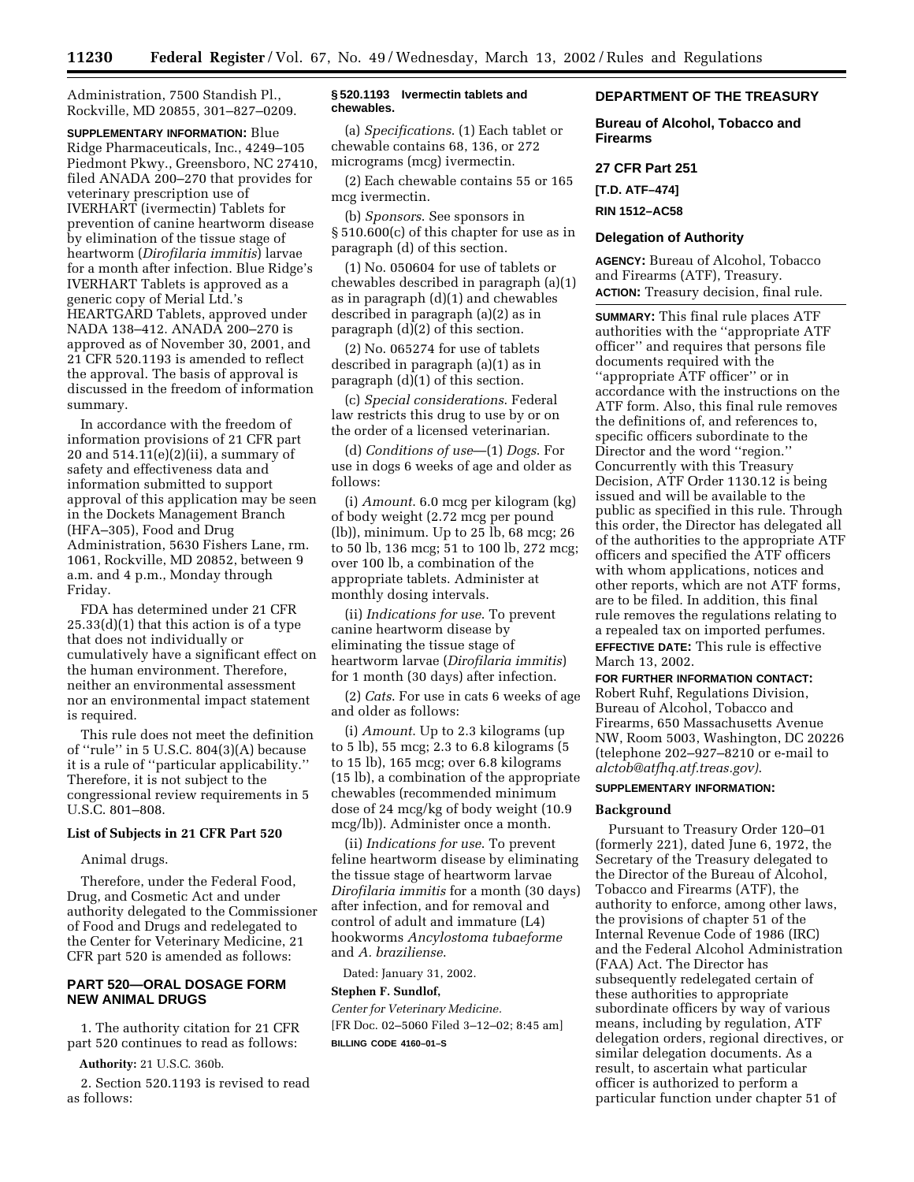Administration, 7500 Standish Pl., Rockville, MD 20855, 301–827–0209.

**SUPPLEMENTARY INFORMATION:** Blue Ridge Pharmaceuticals, Inc., 4249–105 Piedmont Pkwy., Greensboro, NC 27410, filed ANADA 200–270 that provides for veterinary prescription use of IVERHART (ivermectin) Tablets for prevention of canine heartworm disease by elimination of the tissue stage of heartworm (*Dirofilaria immitis*) larvae for a month after infection. Blue Ridge's IVERHART Tablets is approved as a generic copy of Merial Ltd.'s HEARTGARD Tablets, approved under NADA 138–412. ANADA 200–270 is approved as of November 30, 2001, and 21 CFR 520.1193 is amended to reflect the approval. The basis of approval is discussed in the freedom of information summary.

In accordance with the freedom of information provisions of 21 CFR part 20 and  $514.11(e)(2)(ii)$ , a summary of safety and effectiveness data and information submitted to support approval of this application may be seen in the Dockets Management Branch (HFA–305), Food and Drug Administration, 5630 Fishers Lane, rm. 1061, Rockville, MD 20852, between 9 a.m. and 4 p.m., Monday through Friday.

FDA has determined under 21 CFR 25.33(d)(1) that this action is of a type that does not individually or cumulatively have a significant effect on the human environment. Therefore, neither an environmental assessment nor an environmental impact statement is required.

This rule does not meet the definition of ''rule'' in 5 U.S.C. 804(3)(A) because it is a rule of ''particular applicability.'' Therefore, it is not subject to the congressional review requirements in 5 U.S.C. 801–808.

#### **List of Subjects in 21 CFR Part 520**

# Animal drugs.

Therefore, under the Federal Food, Drug, and Cosmetic Act and under authority delegated to the Commissioner of Food and Drugs and redelegated to the Center for Veterinary Medicine, 21 CFR part 520 is amended as follows:

# **PART 520—ORAL DOSAGE FORM NEW ANIMAL DRUGS**

1. The authority citation for 21 CFR part 520 continues to read as follows:

**Authority:** 21 U.S.C. 360b.

2. Section 520.1193 is revised to read as follows:

# **§ 520.1193 Ivermectin tablets and chewables.**

(a) *Specifications*. (1) Each tablet or chewable contains 68, 136, or 272 micrograms (mcg) ivermectin.

(2) Each chewable contains 55 or 165 mcg ivermectin.

(b) *Sponsors*. See sponsors in § 510.600(c) of this chapter for use as in paragraph (d) of this section.

(1) No. 050604 for use of tablets or chewables described in paragraph (a)(1) as in paragraph (d)(1) and chewables described in paragraph (a)(2) as in paragraph (d)(2) of this section.

(2) No. 065274 for use of tablets described in paragraph (a)(1) as in paragraph (d)(1) of this section.

(c) *Special considerations*. Federal law restricts this drug to use by or on the order of a licensed veterinarian.

(d) *Conditions of use*—(1) *Dogs*. For use in dogs 6 weeks of age and older as follows:

(i) *Amount*. 6.0 mcg per kilogram (kg) of body weight (2.72 mcg per pound (lb)), minimum. Up to 25 lb, 68 mcg; 26 to 50 lb, 136 mcg; 51 to 100 lb, 272 mcg; over 100 lb, a combination of the appropriate tablets. Administer at monthly dosing intervals.

(ii) *Indications for use*. To prevent canine heartworm disease by eliminating the tissue stage of heartworm larvae (*Dirofilaria immitis*) for 1 month (30 days) after infection.

(2) *Cats*. For use in cats 6 weeks of age and older as follows:

(i) *Amount*. Up to 2.3 kilograms (up to 5 lb), 55 mcg; 2.3 to 6.8 kilograms (5 to 15 lb), 165 mcg; over 6.8 kilograms (15 lb), a combination of the appropriate chewables (recommended minimum dose of 24 mcg/kg of body weight (10.9 mcg/lb)). Administer once a month.

(ii) *Indications for use*. To prevent feline heartworm disease by eliminating the tissue stage of heartworm larvae *Dirofilaria immitis* for a month (30 days) after infection, and for removal and control of adult and immature (L4) hookworms *Ancylostoma tubaeforme* and *A. braziliense*.

Dated: January 31, 2002.

## **Stephen F. Sundlof,**

*Center for Veterinary Medicine.* [FR Doc. 02–5060 Filed 3–12–02; 8:45 am] **BILLING CODE 4160–01–S**

# **DEPARTMENT OF THE TREASURY**

**Bureau of Alcohol, Tobacco and Firearms**

# **27 CFR Part 251**

**[T.D. ATF–474]**

**RIN 1512–AC58**

# **Delegation of Authority**

**AGENCY:** Bureau of Alcohol, Tobacco and Firearms (ATF), Treasury. **ACTION:** Treasury decision, final rule.

**SUMMARY:** This final rule places ATF authorities with the ''appropriate ATF officer'' and requires that persons file documents required with the ''appropriate ATF officer'' or in accordance with the instructions on the ATF form. Also, this final rule removes the definitions of, and references to, specific officers subordinate to the Director and the word ''region.'' Concurrently with this Treasury Decision, ATF Order 1130.12 is being issued and will be available to the public as specified in this rule. Through this order, the Director has delegated all of the authorities to the appropriate ATF officers and specified the ATF officers with whom applications, notices and other reports, which are not ATF forms, are to be filed. In addition, this final rule removes the regulations relating to a repealed tax on imported perfumes. **EFFECTIVE DATE:** This rule is effective March 13, 2002.

**FOR FURTHER INFORMATION CONTACT:** Robert Ruhf, Regulations Division, Bureau of Alcohol, Tobacco and Firearms, 650 Massachusetts Avenue NW, Room 5003, Washington, DC 20226 (telephone 202–927–8210 or e-mail to *alctob@atfhq.atf.treas.gov)*.

## **SUPPLEMENTARY INFORMATION:**

## **Background**

Pursuant to Treasury Order 120–01 (formerly 221), dated June 6, 1972, the Secretary of the Treasury delegated to the Director of the Bureau of Alcohol, Tobacco and Firearms (ATF), the authority to enforce, among other laws, the provisions of chapter 51 of the Internal Revenue Code of 1986 (IRC) and the Federal Alcohol Administration (FAA) Act. The Director has subsequently redelegated certain of these authorities to appropriate subordinate officers by way of various means, including by regulation, ATF delegation orders, regional directives, or similar delegation documents. As a result, to ascertain what particular officer is authorized to perform a particular function under chapter 51 of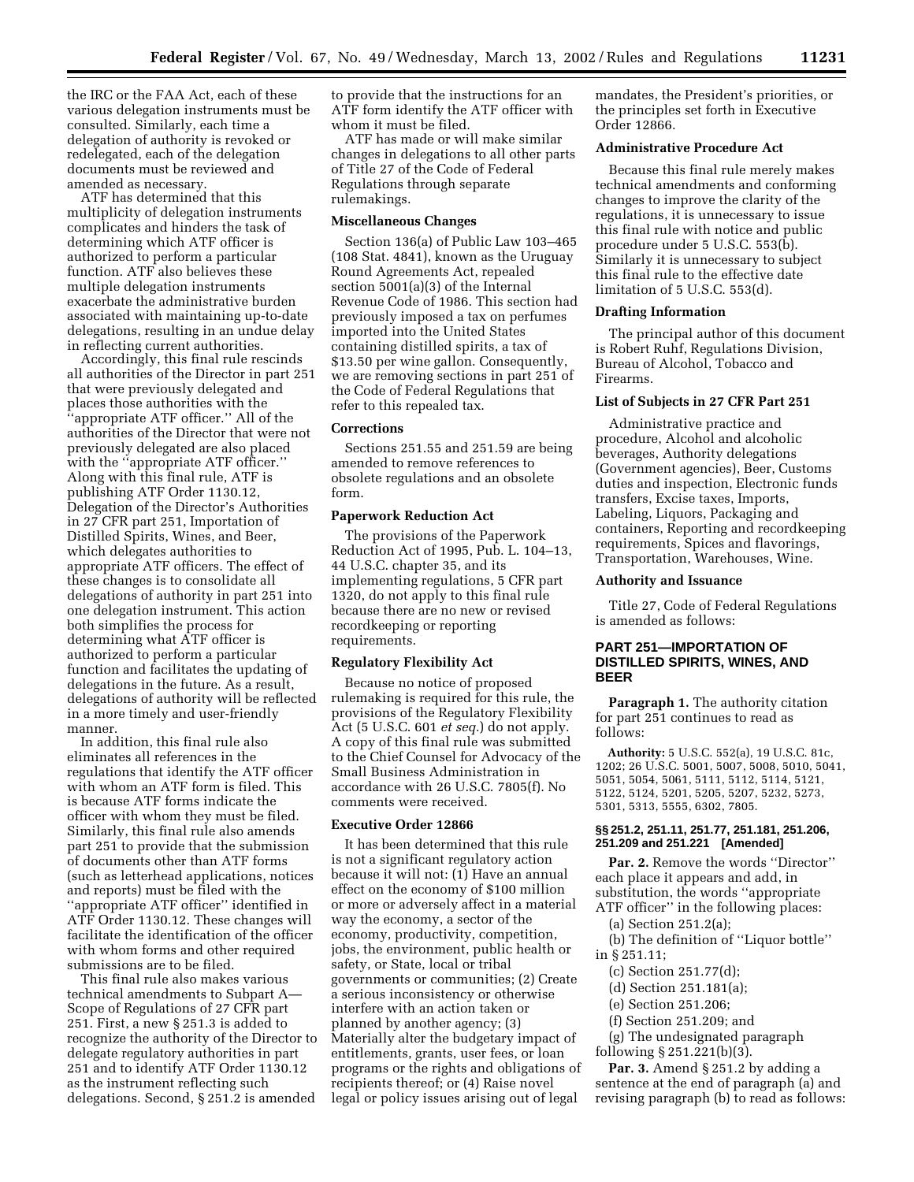the IRC or the FAA Act, each of these various delegation instruments must be consulted. Similarly, each time a delegation of authority is revoked or redelegated, each of the delegation documents must be reviewed and amended as necessary.

ATF has determined that this multiplicity of delegation instruments complicates and hinders the task of determining which ATF officer is authorized to perform a particular function. ATF also believes these multiple delegation instruments exacerbate the administrative burden associated with maintaining up-to-date delegations, resulting in an undue delay in reflecting current authorities.

Accordingly, this final rule rescinds all authorities of the Director in part 251 that were previously delegated and places those authorities with the 'appropriate ATF officer." All of the authorities of the Director that were not previously delegated are also placed with the "appropriate ATF officer." Along with this final rule, ATF is publishing ATF Order 1130.12, Delegation of the Director's Authorities in 27 CFR part 251, Importation of Distilled Spirits, Wines, and Beer, which delegates authorities to appropriate ATF officers. The effect of these changes is to consolidate all delegations of authority in part 251 into one delegation instrument. This action both simplifies the process for determining what ATF officer is authorized to perform a particular function and facilitates the updating of delegations in the future. As a result, delegations of authority will be reflected in a more timely and user-friendly manner.

In addition, this final rule also eliminates all references in the regulations that identify the ATF officer with whom an ATF form is filed. This is because ATF forms indicate the officer with whom they must be filed. Similarly, this final rule also amends part 251 to provide that the submission of documents other than ATF forms (such as letterhead applications, notices and reports) must be filed with the ''appropriate ATF officer'' identified in ATF Order 1130.12. These changes will facilitate the identification of the officer with whom forms and other required submissions are to be filed.

This final rule also makes various technical amendments to Subpart A— Scope of Regulations of 27 CFR part 251. First, a new § 251.3 is added to recognize the authority of the Director to delegate regulatory authorities in part 251 and to identify ATF Order 1130.12 as the instrument reflecting such delegations. Second, § 251.2 is amended

to provide that the instructions for an ATF form identify the ATF officer with whom it must be filed.

ATF has made or will make similar changes in delegations to all other parts of Title 27 of the Code of Federal Regulations through separate rulemakings.

### **Miscellaneous Changes**

Section 136(a) of Public Law 103–465 (108 Stat. 4841), known as the Uruguay Round Agreements Act, repealed section 5001(a)(3) of the Internal Revenue Code of 1986. This section had previously imposed a tax on perfumes imported into the United States containing distilled spirits, a tax of \$13.50 per wine gallon. Consequently, we are removing sections in part 251 of the Code of Federal Regulations that refer to this repealed tax.

#### **Corrections**

Sections 251.55 and 251.59 are being amended to remove references to obsolete regulations and an obsolete form.

#### **Paperwork Reduction Act**

The provisions of the Paperwork Reduction Act of 1995, Pub. L. 104–13, 44 U.S.C. chapter 35, and its implementing regulations, 5 CFR part 1320, do not apply to this final rule because there are no new or revised recordkeeping or reporting requirements.

## **Regulatory Flexibility Act**

Because no notice of proposed rulemaking is required for this rule, the provisions of the Regulatory Flexibility Act (5 U.S.C. 601 *et seq.*) do not apply. A copy of this final rule was submitted to the Chief Counsel for Advocacy of the Small Business Administration in accordance with 26 U.S.C. 7805(f). No comments were received.

#### **Executive Order 12866**

It has been determined that this rule is not a significant regulatory action because it will not: (1) Have an annual effect on the economy of \$100 million or more or adversely affect in a material way the economy, a sector of the economy, productivity, competition, jobs, the environment, public health or safety, or State, local or tribal governments or communities; (2) Create a serious inconsistency or otherwise interfere with an action taken or planned by another agency; (3) Materially alter the budgetary impact of entitlements, grants, user fees, or loan programs or the rights and obligations of recipients thereof; or (4) Raise novel legal or policy issues arising out of legal

mandates, the President's priorities, or the principles set forth in Executive Order 12866.

## **Administrative Procedure Act**

Because this final rule merely makes technical amendments and conforming changes to improve the clarity of the regulations, it is unnecessary to issue this final rule with notice and public procedure under 5 U.S.C. 553(b). Similarly it is unnecessary to subject this final rule to the effective date limitation of 5 U.S.C. 553(d).

## **Drafting Information**

The principal author of this document is Robert Ruhf, Regulations Division, Bureau of Alcohol, Tobacco and Firearms.

# **List of Subjects in 27 CFR Part 251**

Administrative practice and procedure, Alcohol and alcoholic beverages, Authority delegations (Government agencies), Beer, Customs duties and inspection, Electronic funds transfers, Excise taxes, Imports, Labeling, Liquors, Packaging and containers, Reporting and recordkeeping requirements, Spices and flavorings, Transportation, Warehouses, Wine.

#### **Authority and Issuance**

Title 27, Code of Federal Regulations is amended as follows:

# **PART 251—IMPORTATION OF DISTILLED SPIRITS, WINES, AND BEER**

**Paragraph 1.** The authority citation for part 251 continues to read as follows:

**Authority:** 5 U.S.C. 552(a), 19 U.S.C. 81c, 1202; 26 U.S.C. 5001, 5007, 5008, 5010, 5041, 5051, 5054, 5061, 5111, 5112, 5114, 5121, 5122, 5124, 5201, 5205, 5207, 5232, 5273, 5301, 5313, 5555, 6302, 7805.

#### **§§ 251.2, 251.11, 251.77, 251.181, 251.206, 251.209 and 251.221 [Amended]**

**Par. 2.** Remove the words "Director" each place it appears and add, in substitution, the words ''appropriate ATF officer'' in the following places:

(a) Section 251.2(a);

(b) The definition of ''Liquor bottle'' in § 251.11;

(c) Section 251.77(d);

(d) Section 251.181(a);

(e) Section 251.206;

(f) Section 251.209; and

(g) The undesignated paragraph following § 251.221(b)(3).

**Par. 3.** Amend § 251.2 by adding a sentence at the end of paragraph (a) and revising paragraph (b) to read as follows: